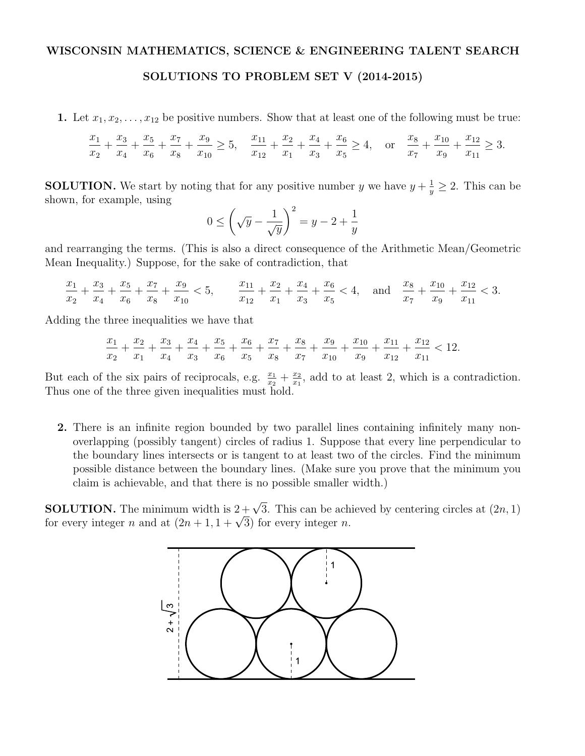## WISCONSIN MATHEMATICS, SCIENCE & ENGINEERING TALENT SEARCH

## SOLUTIONS TO PROBLEM SET V (2014-2015)

1. Let  $x_1, x_2, \ldots, x_{12}$  be positive numbers. Show that at least one of the following must be true:

$$
\frac{x_1}{x_2} + \frac{x_3}{x_4} + \frac{x_5}{x_6} + \frac{x_7}{x_8} + \frac{x_9}{x_{10}} \ge 5, \quad \frac{x_{11}}{x_{12}} + \frac{x_2}{x_1} + \frac{x_4}{x_3} + \frac{x_6}{x_5} \ge 4, \quad \text{or} \quad \frac{x_8}{x_7} + \frac{x_{10}}{x_9} + \frac{x_{12}}{x_{11}} \ge 3.
$$

**SOLUTION.** We start by noting that for any positive number *y* we have  $y + \frac{1}{y} \ge 2$ . This can be shown, for example, using

$$
0 \le \left(\sqrt{y} - \frac{1}{\sqrt{y}}\right)^2 = y - 2 + \frac{1}{y}
$$

and rearranging the terms. (This is also a direct consequence of the Arithmetic Mean/Geometric Mean Inequality.) Suppose, for the sake of contradiction, that

$$
\frac{x_1}{x_2}+\frac{x_3}{x_4}+\frac{x_5}{x_6}+\frac{x_7}{x_8}+\frac{x_9}{x_{10}}<5, \qquad \frac{x_{11}}{x_{12}}+\frac{x_2}{x_1}+\frac{x_4}{x_3}+\frac{x_6}{x_5}<4, \quad \text{and} \quad \frac{x_8}{x_7}+\frac{x_{10}}{x_9}+\frac{x_{12}}{x_{11}}<3.
$$

Adding the three inequalities we have that

$$
\frac{x_1}{x_2}+\frac{x_2}{x_1}+\frac{x_3}{x_4}+\frac{x_4}{x_3}+\frac{x_5}{x_6}+\frac{x_6}{x_5}+\frac{x_7}{x_8}+\frac{x_8}{x_7}+\frac{x_9}{x_{10}}+\frac{x_{10}}{x_9}+\frac{x_{11}}{x_{12}}+\frac{x_{12}}{x_{11}}<12.
$$

But each of the six pairs of reciprocals, e.g.  $\frac{x_1}{x_2} + \frac{x_2}{x_1}$ , add to at least 2, which is a contradiction. Thus one of the three given inequalities must hold.

2. There is an infinite region bounded by two parallel lines containing infinitely many nonoverlapping (possibly tangent) circles of radius 1. Suppose that every line perpendicular to the boundary lines intersects or is tangent to at least two of the circles. Find the minimum possible distance between the boundary lines. (Make sure you prove that the minimum you claim is achievable, and that there is no possible smaller width.)

**SOLUTION.** The minimum width is  $2 + \sqrt{3}$ . This can be achieved by centering circles at  $(2n, 1)$ for every integer *n* and at  $(2n + 1, 1 + \sqrt{3})$  for every integer *n*.

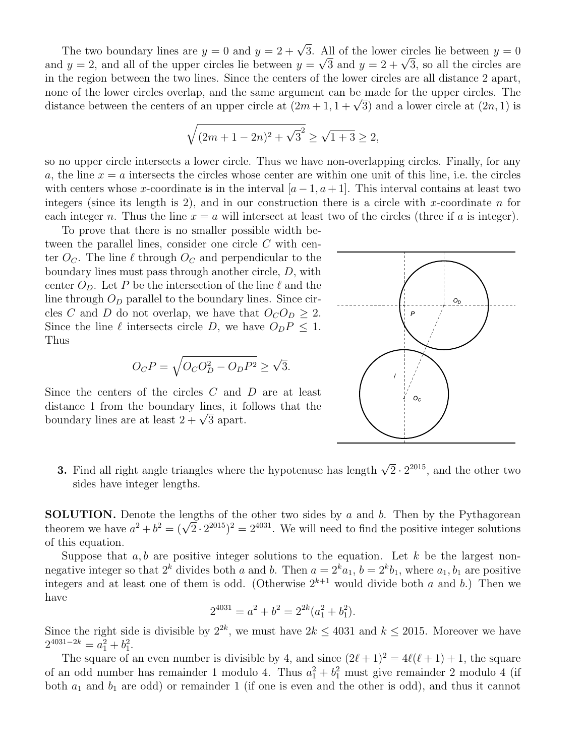The two boundary lines are  $y = 0$  and  $y = 2 + \sqrt{3}$ . All of the lower circles lie between  $y = 0$ and  $y = 2$ , and all of the upper circles lie between  $y = \sqrt{3}$  and  $y = 2 + \sqrt{3}$ , so all the circles are in the region between the two lines. Since the centers of the lower circles are all distance 2 apart, none of the lower circles overlap, and the same argument can be made for the upper circles. The distance between the centers of an upper circle at  $(2m + 1, 1 + \sqrt{3})$  and a lower circle at  $(2n, 1)$  is

$$
\sqrt{(2m+1-2n)^2+\sqrt{3}^2} \ge \sqrt{1+3} \ge 2,
$$

so no upper circle intersects a lower circle. Thus we have non-overlapping circles. Finally, for any *a*, the line  $x = a$  intersects the circles whose center are within one unit of this line, i.e. the circles with centers whose *x*-coordinate is in the interval  $[a-1, a+1]$ . This interval contains at least two integers (since its length is 2), and in our construction there is a circle with *x*-coordinate *n* for each integer *n*. Thus the line  $x = a$  will intersect at least two of the circles (three if *a* is integer).

To prove that there is no smaller possible width between the parallel lines, consider one circle *C* with center  $O_C$ . The line  $\ell$  through  $O_C$  and perpendicular to the boundary lines must pass through another circle, *D*, with center  $O_p$ . Let P be the intersection of the line  $\ell$  and the line through  $O_D$  parallel to the boundary lines. Since circles *C* and *D* do not overlap, we have that  $O_C O_D \geq 2$ . Since the line  $\ell$  intersects circle *D*, we have  $O_p P \leq 1$ . Thus

$$
O_C P = \sqrt{O_C O_D^2 - O_D P^2} \ge \sqrt{3}.
$$

Since the centers of the circles *C* and *D* are at least distance 1 from the boundary lines, it follows that the boundary lines are at least  $2 + \sqrt{3}$  apart.



**3.** Find all right angle triangles where the hypotenuse has length  $\sqrt{2} \cdot 2^{2015}$ , and the other two sides have integer lengths.

SOLUTION. Denote the lengths of the other two sides by *a* and *b*. Then by the Pythagorean theorem we have  $a^2 + b^2 = (\sqrt{2} \cdot 2^{2015})^2 = 2^{4031}$ . We will need to find the positive integer solutions of this equation.

Suppose that  $a, b$  are positive integer solutions to the equation. Let  $k$  be the largest nonnegative integer so that  $2^k$  divides both *a* and *b*. Then  $a = 2^k a_1$ ,  $b = 2^k b_1$ , where  $a_1, b_1$  are positive integers and at least one of them is odd. (Otherwise  $2^{k+1}$  would divide both *a* and *b*.) Then we have

$$
2^{4031} = a^2 + b^2 = 2^{2k}(a_1^2 + b_1^2).
$$

Since the right side is divisible by  $2^{2k}$ , we must have  $2k \le 4031$  and  $k \le 2015$ . Moreover we have  $2^{4031-2k} = a_1^2 + b_1^2.$ 

The square of an even number is divisible by 4, and since  $(2\ell + 1)^2 = 4\ell(\ell + 1) + 1$ , the square of an odd number has remainder 1 modulo 4. Thus  $a_1^2 + b_1^2$  must give remainder 2 modulo 4 (if both *a*<sup>1</sup> and *b*<sup>1</sup> are odd) or remainder 1 (if one is even and the other is odd), and thus it cannot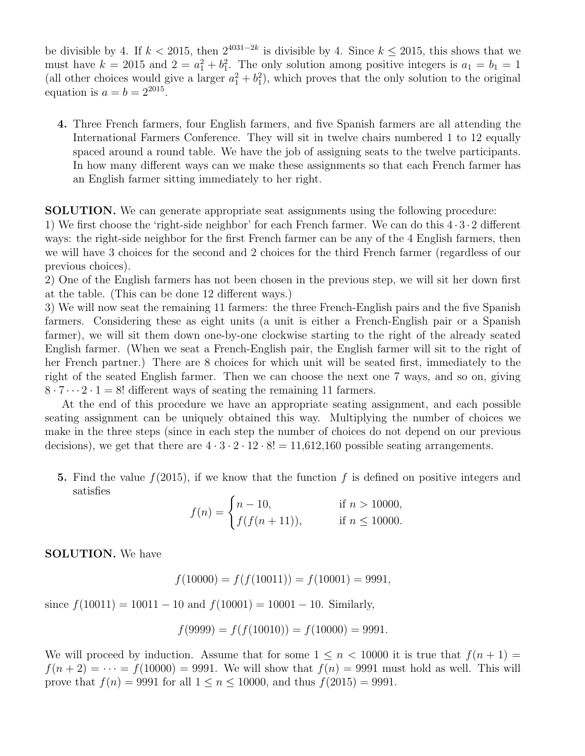be divisible by 4. If  $k < 2015$ , then  $2^{4031-2k}$  is divisible by 4. Since  $k \le 2015$ , this shows that we must have  $k = 2015$  and  $2 = a_1^2 + b_1^2$ . The only solution among positive integers is  $a_1 = b_1 = 1$ (all other choices would give a larger  $a_1^2 + b_1^2$ ), which proves that the only solution to the original equation is  $a = b = 2^{2015}$ .

4. Three French farmers, four English farmers, and five Spanish farmers are all attending the International Farmers Conference. They will sit in twelve chairs numbered 1 to 12 equally spaced around a round table. We have the job of assigning seats to the twelve participants. In how many different ways can we make these assignments so that each French farmer has an English farmer sitting immediately to her right.

SOLUTION. We can generate appropriate seat assignments using the following procedure:

1) We first choose the 'right-side neighbor' for each French farmer. We can do this  $4 \cdot 3 \cdot 2$  different ways: the right-side neighbor for the first French farmer can be any of the 4 English farmers, then we will have 3 choices for the second and 2 choices for the third French farmer (regardless of our previous choices).

2) One of the English farmers has not been chosen in the previous step, we will sit her down first at the table. (This can be done  $12$  different ways.)

3) We will now seat the remaining 11 farmers: the three French-English pairs and the five Spanish farmers. Considering these as eight units (a unit is either a French-English pair or a Spanish farmer), we will sit them down one-by-one clockwise starting to the right of the already seated English farmer. (When we seat a French-English pair, the English farmer will sit to the right of her French partner.) There are 8 choices for which unit will be seated first, immediately to the right of the seated English farmer. Then we can choose the next one 7 ways, and so on, giving  $8 \cdot 7 \cdot \cdot 2 \cdot 1 = 8!$  different ways of seating the remaining 11 farmers.

At the end of this procedure we have an appropriate seating assignment, and each possible seating assignment can be uniquely obtained this way. Multiplying the number of choices we make in the three steps (since in each step the number of choices do not depend on our previous decisions), we get that there are  $4 \cdot 3 \cdot 2 \cdot 12 \cdot 8! = 11,612,160$  possible seating arrangements.

5. Find the value *f*(2015), if we know that the function *f* is defined on positive integers and satisfies

$$
f(n) = \begin{cases} n - 10, & \text{if } n > 10000, \\ f(f(n + 11)), & \text{if } n \le 10000. \end{cases}
$$

SOLUTION. We have

$$
f(10000) = f(f(10011)) = f(10001) = 9991,
$$

since  $f(10011) = 10011 - 10$  and  $f(10001) = 10001 - 10$ . Similarly,

$$
f(9999) = f(f(10010)) = f(10000) = 9991.
$$

We will proceed by induction. Assume that for some  $1 \leq n < 10000$  it is true that  $f(n+1) =$  $f(n+2) = \cdots = f(10000) = 9991$ . We will show that  $f(n) = 9991$  must hold as well. This will prove that  $f(n) = 9991$  for all  $1 \le n \le 10000$ , and thus  $f(2015) = 9991$ .